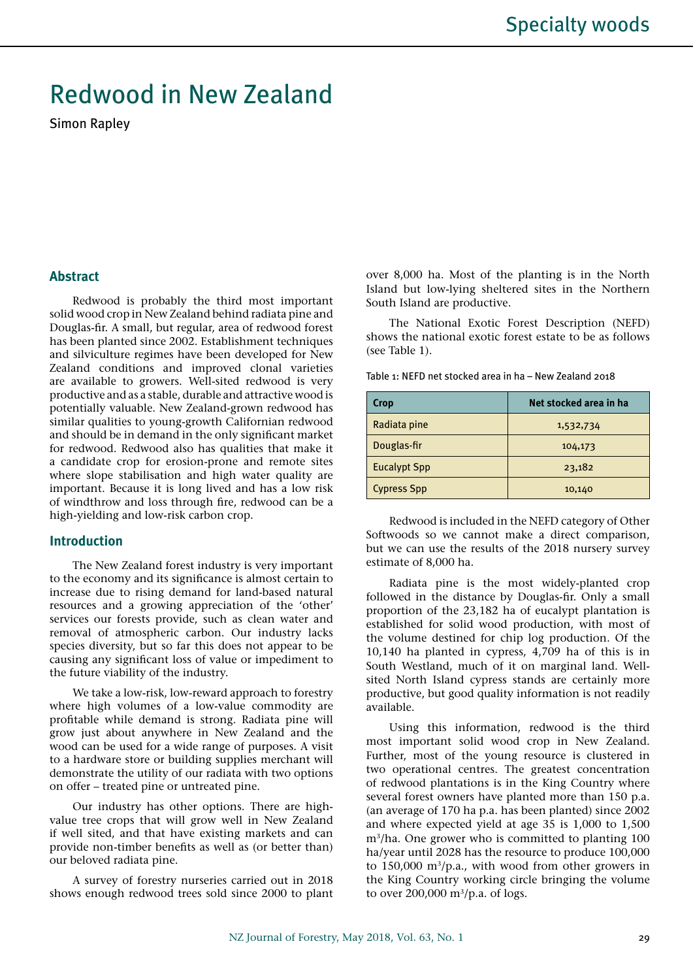# Redwood in New Zealand

Simon Rapley

## **Abstract**

Redwood is probably the third most important solid wood crop in New Zealand behind radiata pine and Douglas-fir. A small, but regular, area of redwood forest has been planted since 2002. Establishment techniques and silviculture regimes have been developed for New Zealand conditions and improved clonal varieties are available to growers. Well-sited redwood is very productive and as a stable, durable and attractive wood is potentially valuable. New Zealand-grown redwood has similar qualities to young-growth Californian redwood and should be in demand in the only significant market for redwood. Redwood also has qualities that make it a candidate crop for erosion-prone and remote sites where slope stabilisation and high water quality are important. Because it is long lived and has a low risk of windthrow and loss through fire, redwood can be a high-yielding and low-risk carbon crop.

## **Introduction**

The New Zealand forest industry is very important to the economy and its significance is almost certain to increase due to rising demand for land-based natural resources and a growing appreciation of the 'other' services our forests provide, such as clean water and removal of atmospheric carbon. Our industry lacks species diversity, but so far this does not appear to be causing any significant loss of value or impediment to the future viability of the industry.

We take a low-risk, low-reward approach to forestry where high volumes of a low-value commodity are profitable while demand is strong. Radiata pine will grow just about anywhere in New Zealand and the wood can be used for a wide range of purposes. A visit to a hardware store or building supplies merchant will demonstrate the utility of our radiata with two options on offer – treated pine or untreated pine.

Our industry has other options. There are highvalue tree crops that will grow well in New Zealand if well sited, and that have existing markets and can provide non-timber benefits as well as (or better than) our beloved radiata pine.

A survey of forestry nurseries carried out in 2018 shows enough redwood trees sold since 2000 to plant over 8,000 ha. Most of the planting is in the North Island but low-lying sheltered sites in the Northern South Island are productive.

The National Exotic Forest Description (NEFD) shows the national exotic forest estate to be as follows (see Table 1).

Table 1: NEFD net stocked area in ha – New Zealand 2018

| Crop                | Net stocked area in ha |  |
|---------------------|------------------------|--|
| Radiata pine        | 1,532,734              |  |
| Douglas-fir         | 104,173                |  |
| <b>Eucalypt Spp</b> | 23,182                 |  |
| <b>Cypress Spp</b>  | 10,140                 |  |

Redwood is included in the NEFD category of Other Softwoods so we cannot make a direct comparison, but we can use the results of the 2018 nursery survey estimate of 8,000 ha.

Radiata pine is the most widely-planted crop followed in the distance by Douglas-fir. Only a small proportion of the 23,182 ha of eucalypt plantation is established for solid wood production, with most of the volume destined for chip log production. Of the 10,140 ha planted in cypress, 4,709 ha of this is in South Westland, much of it on marginal land. Wellsited North Island cypress stands are certainly more productive, but good quality information is not readily available.

Using this information, redwood is the third most important solid wood crop in New Zealand. Further, most of the young resource is clustered in two operational centres. The greatest concentration of redwood plantations is in the King Country where several forest owners have planted more than 150 p.a. (an average of 170 ha p.a. has been planted) since 2002 and where expected yield at age 35 is 1,000 to 1,500 m3/ha. One grower who is committed to planting 100 ha/year until 2028 has the resource to produce 100,000 to  $150,000$  m<sup>3</sup>/p.a., with wood from other growers in the King Country working circle bringing the volume to over  $200,000$  m<sup>3</sup>/p.a. of logs.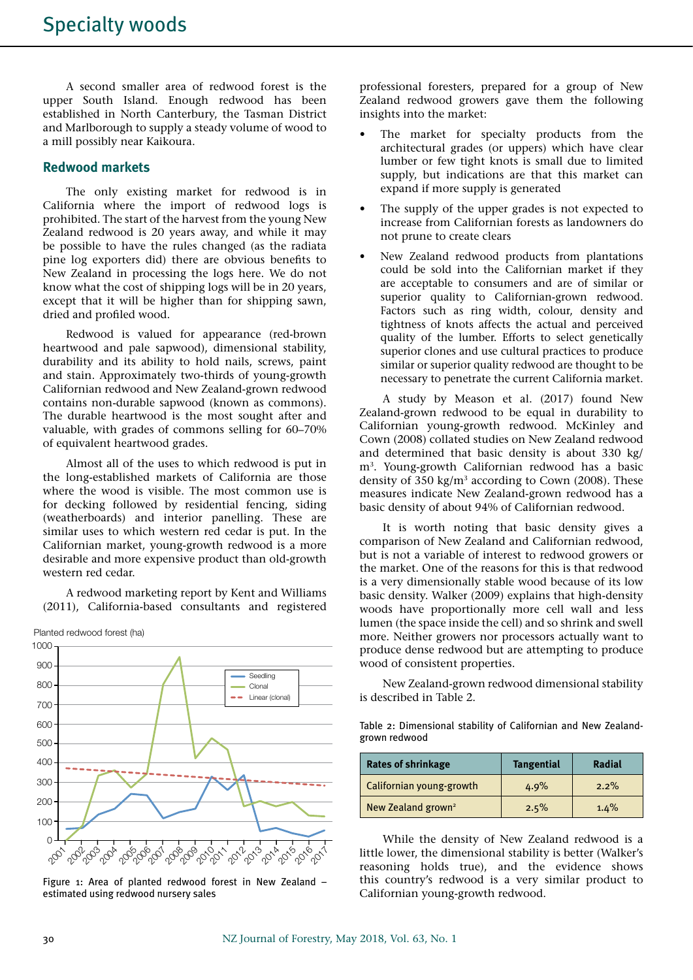A second smaller area of redwood forest is the upper South Island. Enough redwood has been established in North Canterbury, the Tasman District and Marlborough to supply a steady volume of wood to a mill possibly near Kaikoura.

## **Redwood markets**

The only existing market for redwood is in California where the import of redwood logs is prohibited. The start of the harvest from the young New Zealand redwood is 20 years away, and while it may be possible to have the rules changed (as the radiata pine log exporters did) there are obvious benefits to New Zealand in processing the logs here. We do not know what the cost of shipping logs will be in 20 years, except that it will be higher than for shipping sawn, dried and profiled wood.

Redwood is valued for appearance (red-brown heartwood and pale sapwood), dimensional stability, durability and its ability to hold nails, screws, paint and stain. Approximately two-thirds of young-growth Californian redwood and New Zealand-grown redwood contains non-durable sapwood (known as commons). The durable heartwood is the most sought after and valuable, with grades of commons selling for 60–70% of equivalent heartwood grades.

Almost all of the uses to which redwood is put in the long-established markets of California are those where the wood is visible. The most common use is for decking followed by residential fencing, siding (weatherboards) and interior panelling. These are similar uses to which western red cedar is put. In the Californian market, young-growth redwood is a more desirable and more expensive product than old-growth western red cedar.

A redwood marketing report by Kent and Williams (2011), California-based consultants and registered



Figure 1: Area of planted redwood forest in New Zealand – estimated using redwood nursery sales

professional foresters, prepared for a group of New Zealand redwood growers gave them the following insights into the market:

- The market for specialty products from the architectural grades (or uppers) which have clear lumber or few tight knots is small due to limited supply, but indications are that this market can expand if more supply is generated
- The supply of the upper grades is not expected to increase from Californian forests as landowners do not prune to create clears
- New Zealand redwood products from plantations could be sold into the Californian market if they are acceptable to consumers and are of similar or superior quality to Californian-grown redwood. Factors such as ring width, colour, density and tightness of knots affects the actual and perceived quality of the lumber. Efforts to select genetically superior clones and use cultural practices to produce similar or superior quality redwood are thought to be necessary to penetrate the current California market.

A study by Meason et al. (2017) found New Zealand-grown redwood to be equal in durability to Californian young-growth redwood. McKinley and Cown (2008) collated studies on New Zealand redwood and determined that basic density is about 330 kg/ m3. Young-growth Californian redwood has a basic density of  $350 \text{ kg/m}^3$  according to Cown (2008). These measures indicate New Zealand-grown redwood has a basic density of about 94% of Californian redwood.

It is worth noting that basic density gives a comparison of New Zealand and Californian redwood, but is not a variable of interest to redwood growers or the market. One of the reasons for this is that redwood is a very dimensionally stable wood because of its low basic density. Walker (2009) explains that high-density woods have proportionally more cell wall and less lumen (the space inside the cell) and so shrink and swell more. Neither growers nor processors actually want to produce dense redwood but are attempting to produce wood of consistent properties.

New Zealand-grown redwood dimensional stability is described in Table 2.

Table 2: Dimensional stability of Californian and New Zealandgrown redwood

| <b>Rates of shrinkage</b>      | <b>Tangential</b> | Radial  |
|--------------------------------|-------------------|---------|
| Californian young-growth       | 4.9%              | $2.2\%$ |
| New Zealand grown <sup>2</sup> | 2.5%              | 1.4%    |

While the density of New Zealand redwood is a little lower, the dimensional stability is better (Walker's reasoning holds true), and the evidence shows this country's redwood is a very similar product to Californian young-growth redwood.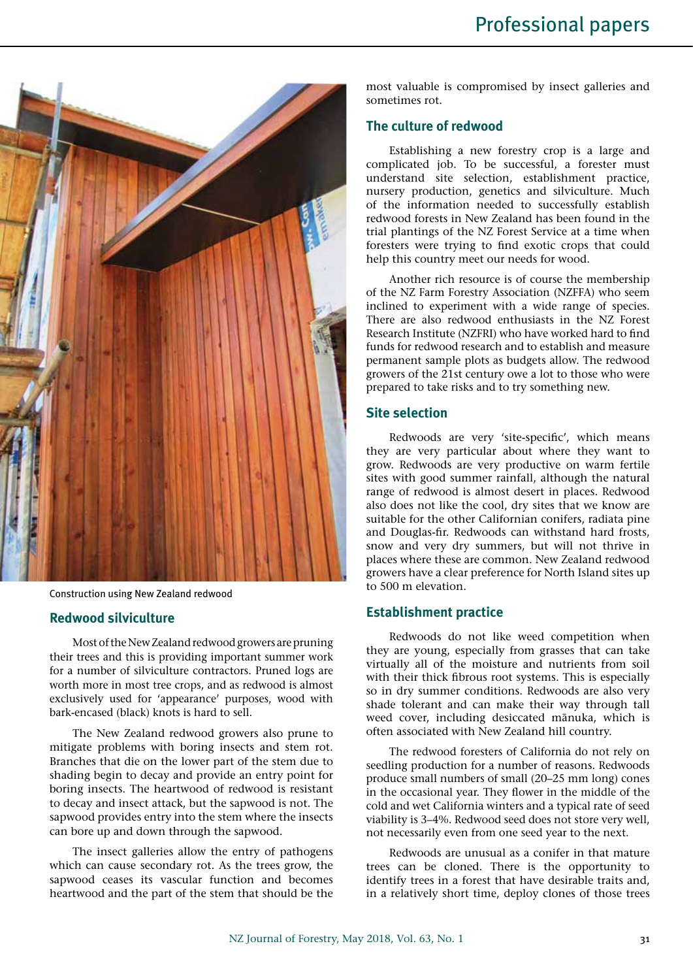

Construction using New Zealand redwood

#### **Redwood silviculture**

Most of the New Zealand redwood growers are pruning their trees and this is providing important summer work for a number of silviculture contractors. Pruned logs are worth more in most tree crops, and as redwood is almost exclusively used for 'appearance' purposes, wood with bark-encased (black) knots is hard to sell.

The New Zealand redwood growers also prune to mitigate problems with boring insects and stem rot. Branches that die on the lower part of the stem due to shading begin to decay and provide an entry point for boring insects. The heartwood of redwood is resistant to decay and insect attack, but the sapwood is not. The sapwood provides entry into the stem where the insects can bore up and down through the sapwood.

The insect galleries allow the entry of pathogens which can cause secondary rot. As the trees grow, the sapwood ceases its vascular function and becomes heartwood and the part of the stem that should be the most valuable is compromised by insect galleries and sometimes rot.

# **The culture of redwood**

Establishing a new forestry crop is a large and complicated job. To be successful, a forester must understand site selection, establishment practice, nursery production, genetics and silviculture. Much of the information needed to successfully establish redwood forests in New Zealand has been found in the trial plantings of the NZ Forest Service at a time when foresters were trying to find exotic crops that could help this country meet our needs for wood.

Another rich resource is of course the membership of the NZ Farm Forestry Association (NZFFA) who seem inclined to experiment with a wide range of species. There are also redwood enthusiasts in the NZ Forest Research Institute (NZFRI) who have worked hard to find funds for redwood research and to establish and measure permanent sample plots as budgets allow. The redwood growers of the 21st century owe a lot to those who were prepared to take risks and to try something new.

# **Site selection**

Redwoods are very 'site-specific', which means they are very particular about where they want to grow. Redwoods are very productive on warm fertile sites with good summer rainfall, although the natural range of redwood is almost desert in places. Redwood also does not like the cool, dry sites that we know are suitable for the other Californian conifers, radiata pine and Douglas-fir. Redwoods can withstand hard frosts, snow and very dry summers, but will not thrive in places where these are common. New Zealand redwood growers have a clear preference for North Island sites up to 500 m elevation.

### **Establishment practice**

Redwoods do not like weed competition when they are young, especially from grasses that can take virtually all of the moisture and nutrients from soil with their thick fibrous root systems. This is especially so in dry summer conditions. Redwoods are also very shade tolerant and can make their way through tall weed cover, including desiccated mānuka, which is often associated with New Zealand hill country.

The redwood foresters of California do not rely on seedling production for a number of reasons. Redwoods produce small numbers of small (20–25 mm long) cones in the occasional year. They flower in the middle of the cold and wet California winters and a typical rate of seed viability is 3–4%. Redwood seed does not store very well, not necessarily even from one seed year to the next.

Redwoods are unusual as a conifer in that mature trees can be cloned. There is the opportunity to identify trees in a forest that have desirable traits and, in a relatively short time, deploy clones of those trees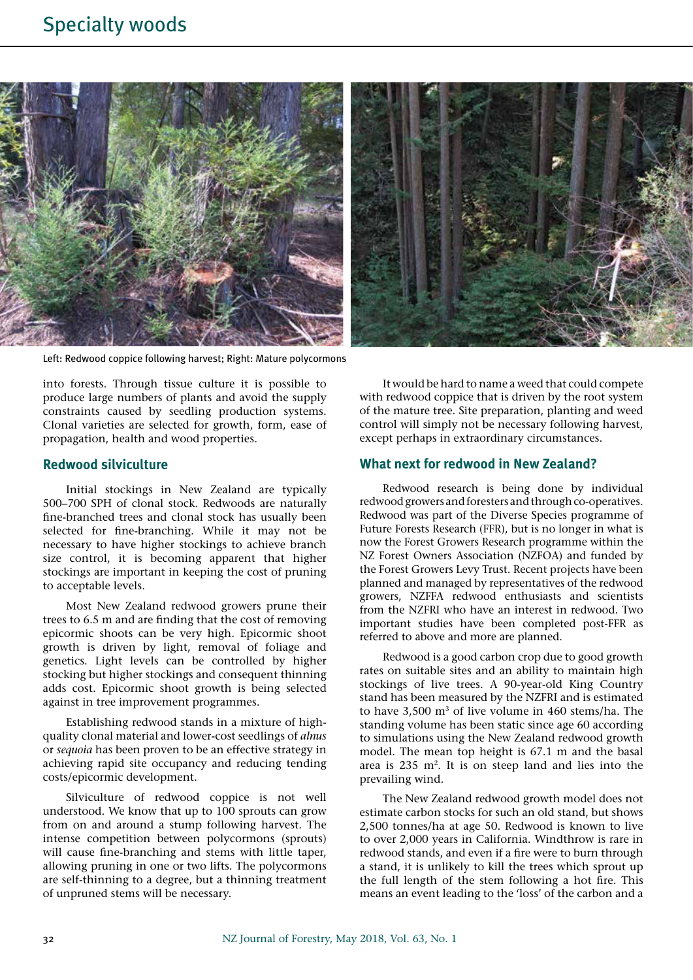

Left: Redwood coppice following harvest; Right: Mature polycormons

into forests. Through tissue culture it is possible to produce large numbers of plants and avoid the supply constraints caused by seedling production systems. Clonal varieties are selected for growth, form, ease of propagation, health and wood properties.

## **Redwood silviculture**

Initial stockings in New Zealand are typically 500–700 SPH of clonal stock. Redwoods are naturally fine-branched trees and clonal stock has usually been selected for fine-branching. While it may not be necessary to have higher stockings to achieve branch size control, it is becoming apparent that higher stockings are important in keeping the cost of pruning to acceptable levels.

Most New Zealand redwood growers prune their trees to 6.5 m and are finding that the cost of removing epicormic shoots can be very high. Epicormic shoot growth is driven by light, removal of foliage and genetics. Light levels can be controlled by higher stocking but higher stockings and consequent thinning adds cost. Epicormic shoot growth is being selected against in tree improvement programmes.

Establishing redwood stands in a mixture of highquality clonal material and lower-cost seedlings of *alnus* or *sequoia* has been proven to be an effective strategy in achieving rapid site occupancy and reducing tending costs/epicormic development.

Silviculture of redwood coppice is not well understood. We know that up to 100 sprouts can grow from on and around a stump following harvest. The intense competition between polycormons (sprouts) will cause fine-branching and stems with little taper, allowing pruning in one or two lifts. The polycormons are self-thinning to a degree, but a thinning treatment of unpruned stems will be necessary.

It would be hard to name a weed that could compete with redwood coppice that is driven by the root system of the mature tree. Site preparation, planting and weed control will simply not be necessary following harvest, except perhaps in extraordinary circumstances.

#### **What next for redwood in New Zealand?**

Redwood research is being done by individual redwood growers and foresters and through co-operatives. Redwood was part of the Diverse Species programme of Future Forests Research (FFR), but is no longer in what is now the Forest Growers Research programme within the NZ Forest Owners Association (NZFOA) and funded by the Forest Growers Levy Trust. Recent projects have been planned and managed by representatives of the redwood growers, NZFFA redwood enthusiasts and scientists from the NZFRI who have an interest in redwood. Two important studies have been completed post-FFR as referred to above and more are planned.

Redwood is a good carbon crop due to good growth rates on suitable sites and an ability to maintain high stockings of live trees. A 90-year-old King Country stand has been measured by the NZFRI and is estimated to have  $3.500 \text{ m}^3$  of live volume in 460 stems/ha. The standing volume has been static since age 60 according to simulations using the New Zealand redwood growth model. The mean top height is 67.1 m and the basal area is 235 m2. It is on steep land and lies into the prevailing wind.

The New Zealand redwood growth model does not estimate carbon stocks for such an old stand, but shows 2,500 tonnes/ha at age 50. Redwood is known to live to over 2,000 years in California. Windthrow is rare in redwood stands, and even if a fire were to burn through a stand, it is unlikely to kill the trees which sprout up the full length of the stem following a hot fire. This means an event leading to the 'loss' of the carbon and a